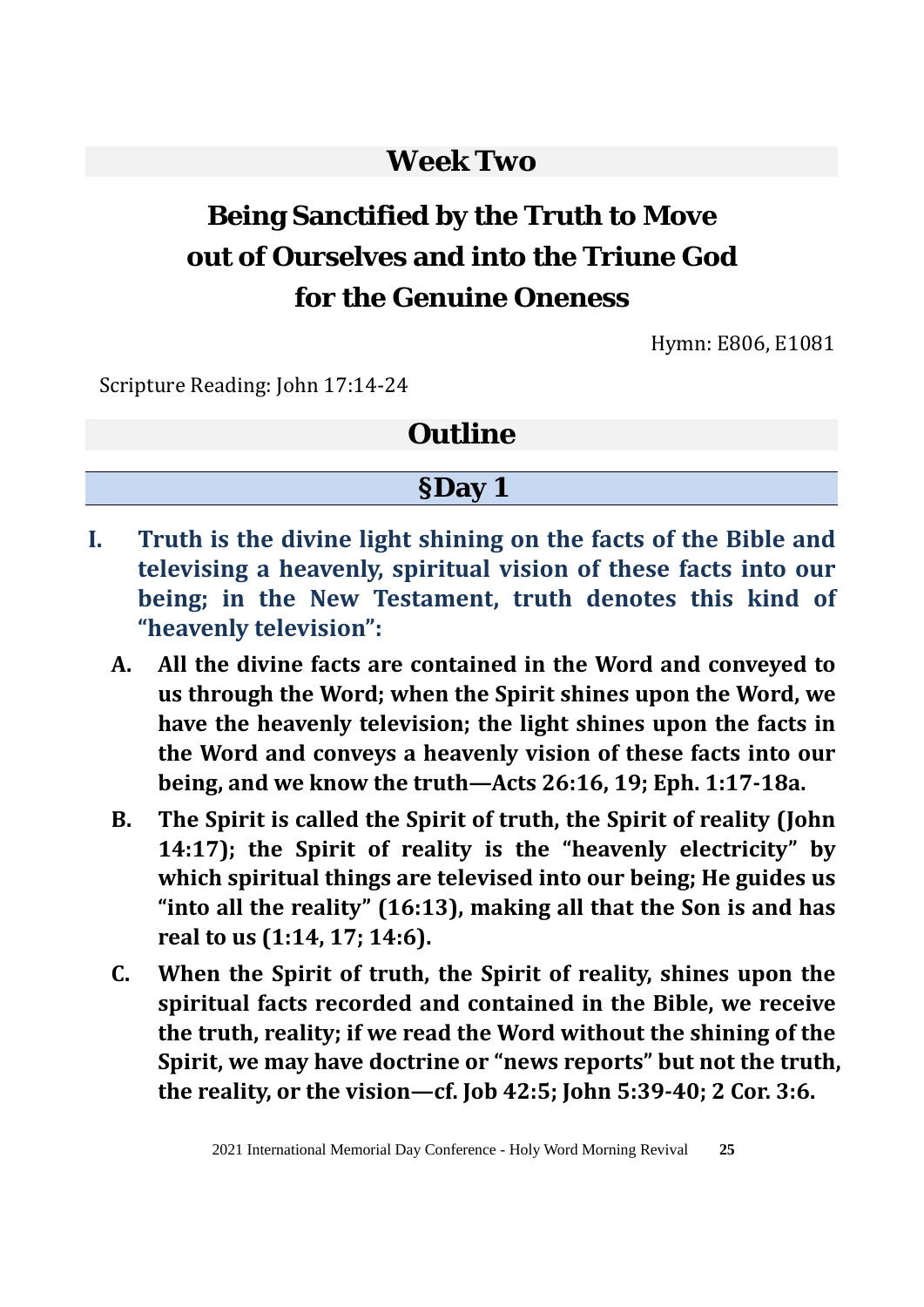# **Week Two**

# **Being Sanctified by the Truth to Move out of Ourselves and into the Triune God for the Genuine Oneness**

Hymn: E806, E1081

Scripture Reading: John 17:14-24

## **Outline**

#### **§Day 1**

- **I. Truth is the divine light shining on the facts of the Bible and televising a heavenly, spiritual vision of these facts into our being; in the New Testament, truth denotes this kind of "heavenly television":**
	- **A. All the divine facts are contained in the Word and conveyed to us through the Word; when the Spirit shines upon the Word, we have the heavenly television; the light shines upon the facts in the Word and conveys a heavenly vision of these facts into our being, and we know the truth—Acts 26:16, 19; Eph. 1:17-18a.**
	- **B. The Spirit is called the Spirit of truth, the Spirit of reality (John 14:17); the Spirit of reality is the "heavenly electricity" by which spiritual things are televised into our being; He guides us "into all the reality" (16:13), making all that the Son is and has real to us (1:14, 17; 14:6).**
	- **C. When the Spirit of truth, the Spirit of reality, shines upon the spiritual facts recorded and contained in the Bible, we receive the truth, reality; if we read the Word without the shining of the Spirit, we may have doctrine or "news reports" but not the truth, the reality, or the vision—cf. Job 42:5; John 5:39-40; 2 Cor. 3:6.**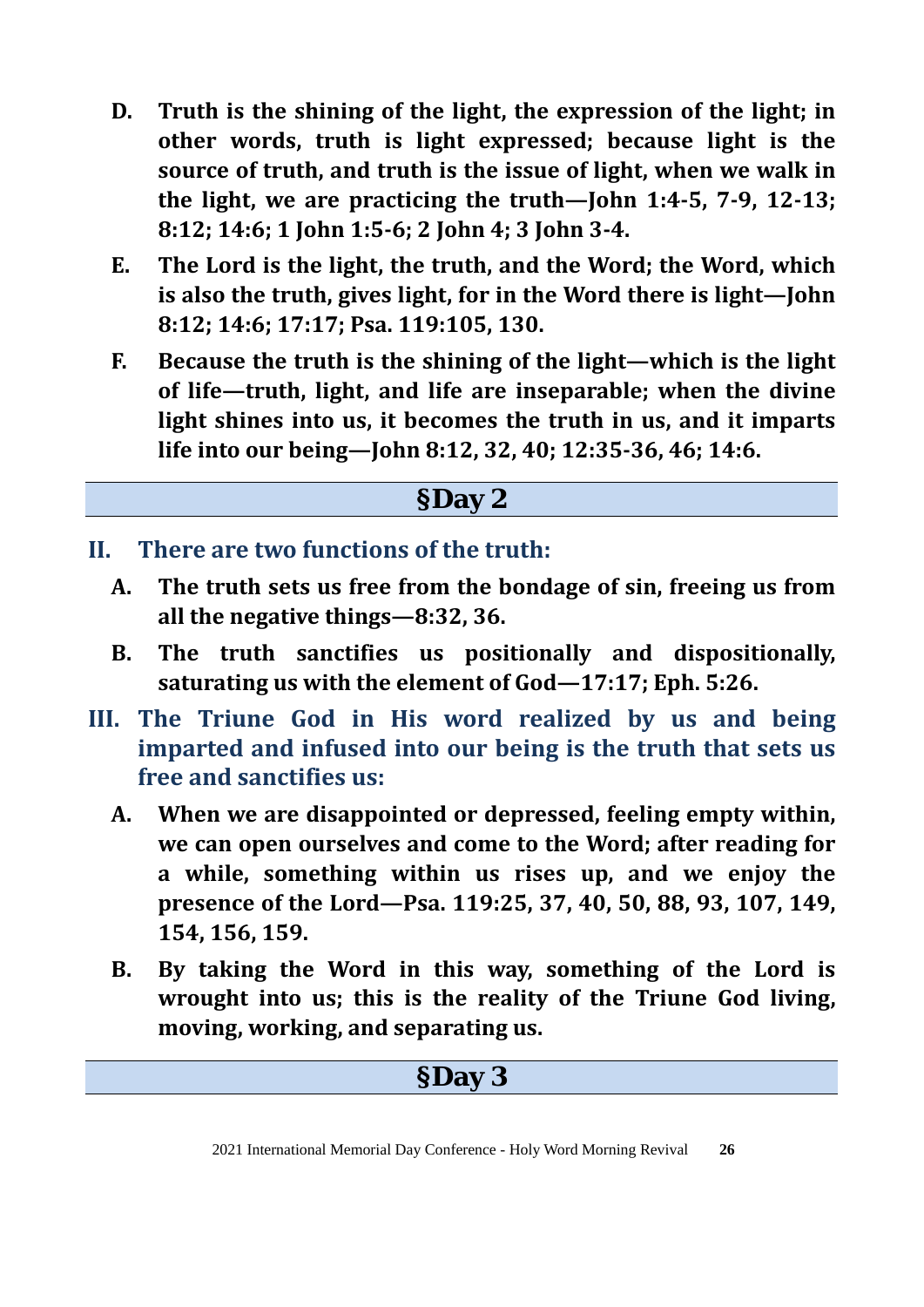- **D. Truth is the shining of the light, the expression of the light; in other words, truth is light expressed; because light is the source of truth, and truth is the issue of light, when we walk in the light, we are practicing the truth—John 1:4-5, 7-9, 12-13; 8:12; 14:6; 1 John 1:5-6; 2 John 4; 3 John 3-4.**
- **E. The Lord is the light, the truth, and the Word; the Word, which is also the truth, gives light, for in the Word there is light—John 8:12; 14:6; 17:17; Psa. 119:105, 130.**
- **F. Because the truth is the shining of the light—which is the light of life—truth, light, and life are inseparable; when the divine light shines into us, it becomes the truth in us, and it imparts life into our being—John 8:12, 32, 40; 12:35-36, 46; 14:6.**

# **§Day 2**

- **II. There are two functions of the truth:**
	- **A. The truth sets us free from the bondage of sin, freeing us from all the negative things—8:32, 36.**
	- **B. The truth sanctifies us positionally and dispositionally, saturating us with the element of God—17:17; Eph. 5:26.**
- **III. The Triune God in His word realized by us and being imparted and infused into our being is the truth that sets us free and sanctifies us:**
	- **A. When we are disappointed or depressed, feeling empty within, we can open ourselves and come to the Word; after reading for a while, something within us rises up, and we enjoy the presence of the Lord—Psa. 119:25, 37, 40, 50, 88, 93, 107, 149, 154, 156, 159.**
	- **B. By taking the Word in this way, something of the Lord is wrought into us; this is the reality of the Triune God living, moving, working, and separating us.**

# **§Day 3**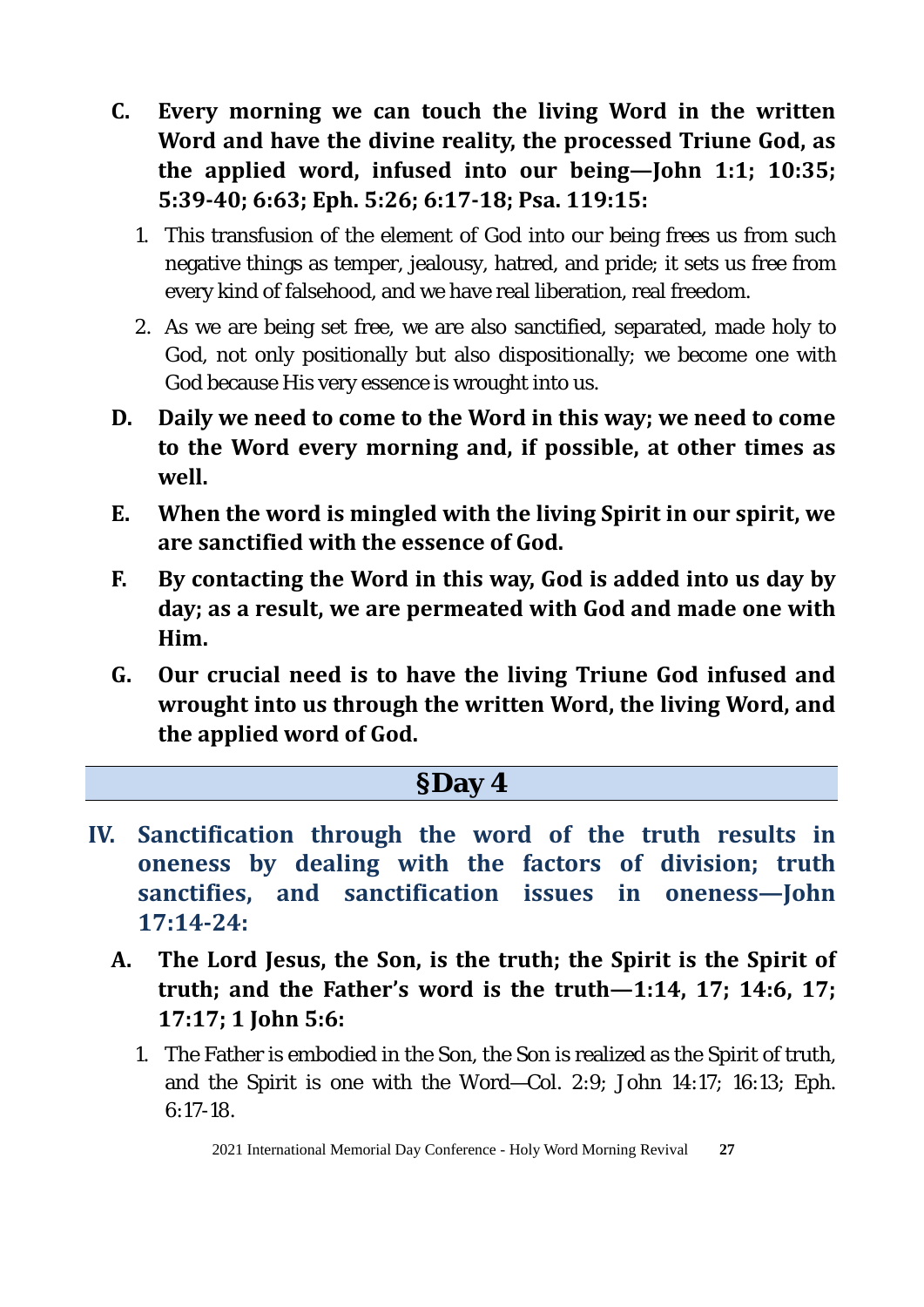- **C. Every morning we can touch the living Word in the written Word and have the divine reality, the processed Triune God, as the applied word, infused into our being—John 1:1; 10:35; 5:39-40; 6:63; Eph. 5:26; 6:17-18; Psa. 119:15:** 
	- 1. This transfusion of the element of God into our being frees us from such negative things as temper, jealousy, hatred, and pride; it sets us free from every kind of falsehood, and we have real liberation, real freedom.
	- 2. As we are being set free, we are also sanctified, separated, made holy to God, not only positionally but also dispositionally; we become one with God because His very essence is wrought into us.
- **D. Daily we need to come to the Word in this way; we need to come to the Word every morning and, if possible, at other times as well.**
- **E. When the word is mingled with the living Spirit in our spirit, we are sanctified with the essence of God.**
- **F. By contacting the Word in this way, God is added into us day by day; as a result, we are permeated with God and made one with Him.**
- **G. Our crucial need is to have the living Triune God infused and wrought into us through the written Word, the living Word, and the applied word of God.**

#### **§Day 4**

- **IV. Sanctification through the word of the truth results in oneness by dealing with the factors of division; truth sanctifies, and sanctification issues in oneness—John 17:14-24:**
	- **A. The Lord Jesus, the Son, is the truth; the Spirit is the Spirit of truth; and the Father's word is the truth—1:14, 17; 14:6, 17; 17:17; 1 John 5:6:** 
		- 1. The Father is embodied in the Son, the Son is realized as the Spirit of truth, and the Spirit is one with the Word—Col. 2:9; John 14:17; 16:13; Eph. 6:17-18.

2021 International Memorial Day Conference - Holy Word Morning Revival **27**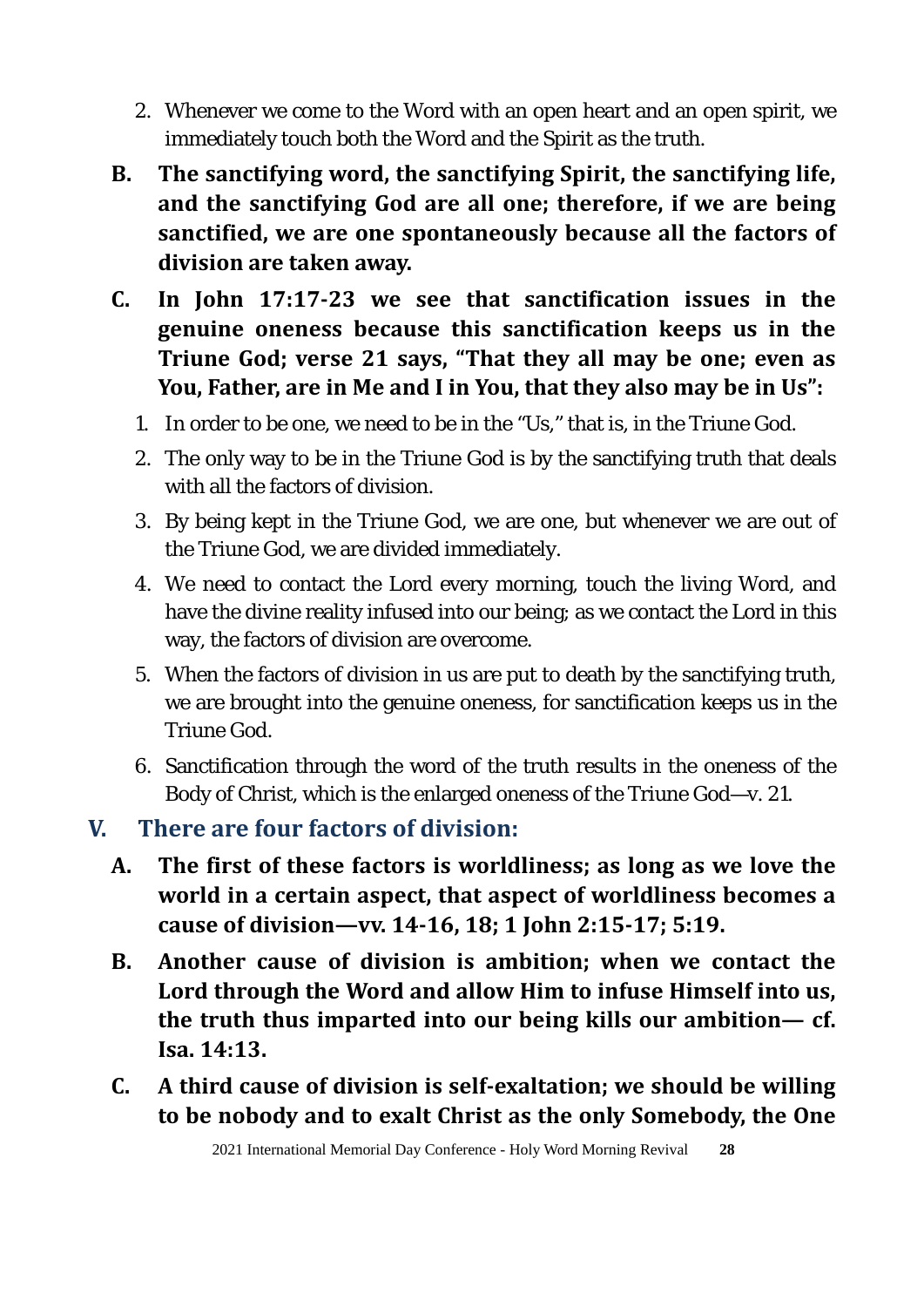- 2. Whenever we come to the Word with an open heart and an open spirit, we immediately touch both the Word and the Spirit as the truth.
- **B. The sanctifying word, the sanctifying Spirit, the sanctifying life, and the sanctifying God are all one; therefore, if we are being sanctified, we are one spontaneously because all the factors of division are taken away.**
- **C. In John 17:17-23 we see that sanctification issues in the genuine oneness because this sanctification keeps us in the Triune God; verse 21 says, "That they all may be one; even as You, Father, are in Me and I in You, that they also may be in Us":**
	- 1. In order to be one, we need to be in the "Us," that is, in the Triune God.
	- 2. The only way to be in the Triune God is by the sanctifying truth that deals with all the factors of division.
	- 3. By being kept in the Triune God, we are one, but whenever we are out of the Triune God, we are divided immediately.
	- 4. We need to contact the Lord every morning, touch the living Word, and have the divine reality infused into our being; as we contact the Lord in this way, the factors of division are overcome.
	- 5. When the factors of division in us are put to death by the sanctifying truth, we are brought into the genuine oneness, for sanctification keeps us in the Triune God.
	- 6. Sanctification through the word of the truth results in the oneness of the Body of Christ, which is the enlarged oneness of the Triune God—v. 21.

## **V. There are four factors of division:**

- **A. The first of these factors is worldliness; as long as we love the world in a certain aspect, that aspect of worldliness becomes a cause of division—vv. 14-16, 18; 1 John 2:15-17; 5:19.**
- **B. Another cause of division is ambition; when we contact the Lord through the Word and allow Him to infuse Himself into us, the truth thus imparted into our being kills our ambition— cf. Isa. 14:13.**
- **C. A third cause of division is self-exaltation; we should be willing to be nobody and to exalt Christ as the only Somebody, the One**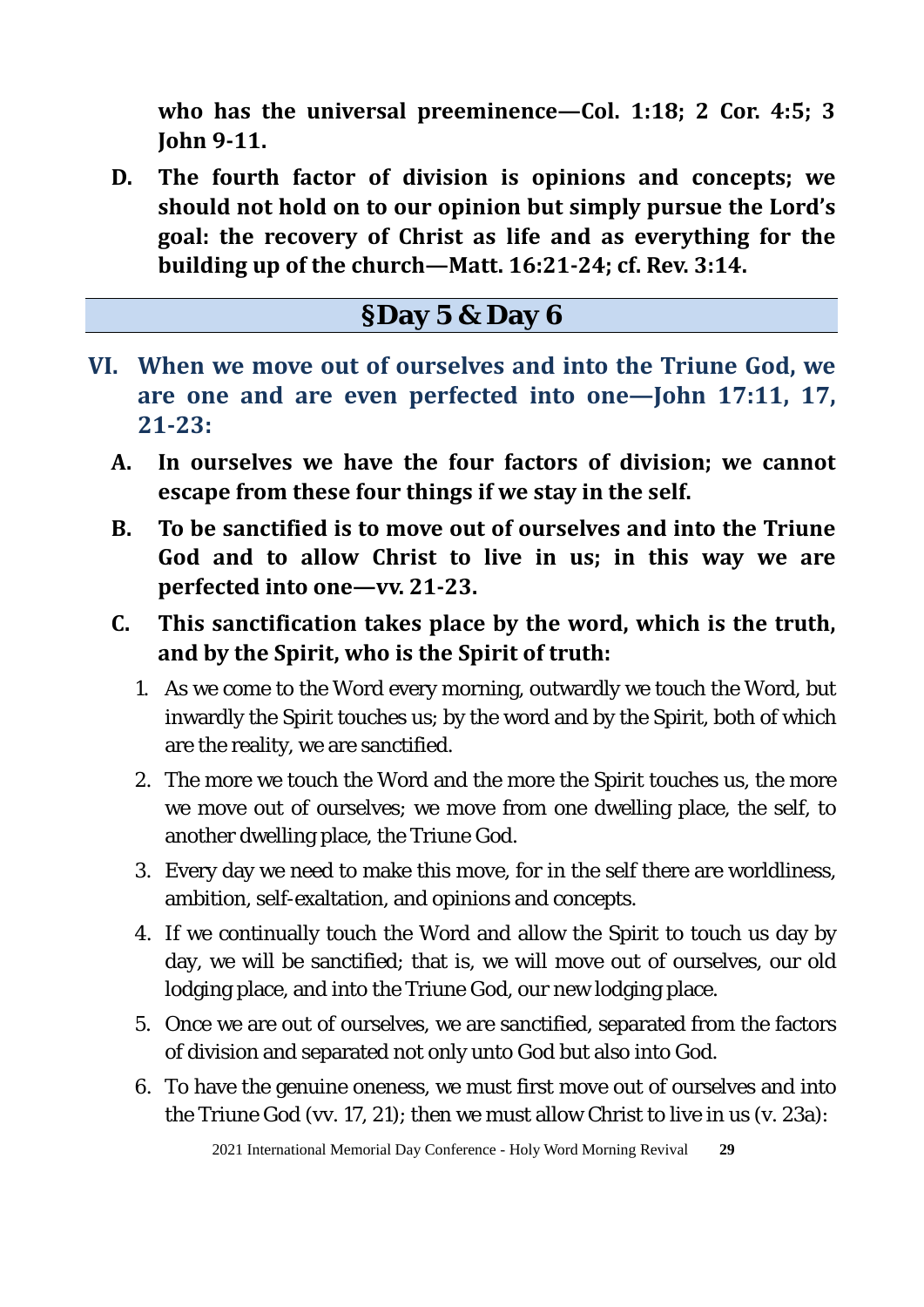**who has the universal preeminence—Col. 1:18; 2 Cor. 4:5; 3 John 9-11.** 

**D. The fourth factor of division is opinions and concepts; we should not hold on to our opinion but simply pursue the Lord's goal: the recovery of Christ as life and as everything for the building up of the church—Matt. 16:21-24; cf. Rev. 3:14.** 

## **§Day 5 & Day 6**

- **VI. When we move out of ourselves and into the Triune God, we are one and are even perfected into one—John 17:11, 17, 21-23:** 
	- **A. In ourselves we have the four factors of division; we cannot escape from these four things if we stay in the self.**
	- **B. To be sanctified is to move out of ourselves and into the Triune God and to allow Christ to live in us; in this way we are perfected into one—vv. 21-23.**
	- **C. This sanctification takes place by the word, which is the truth, and by the Spirit, who is the Spirit of truth:**
		- 1. As we come to the Word every morning, outwardly we touch the Word, but inwardly the Spirit touches us; by the word and by the Spirit, both of which are the reality, we are sanctified.
		- 2. The more we touch the Word and the more the Spirit touches us, the more we move out of ourselves; we move from one dwelling place, the self, to another dwelling place, the Triune God.
		- 3. Every day we need to make this move, for in the self there are worldliness, ambition, self-exaltation, and opinions and concepts.
		- 4. If we continually touch the Word and allow the Spirit to touch us day by day, we will be sanctified; that is, we will move out of ourselves, our old lodging place, and into the Triune God, our new lodging place.
		- 5. Once we are out of ourselves, we are sanctified, separated from the factors of division and separated not only unto God but also into God.
		- 6. To have the genuine oneness, we must first move out of ourselves and into the Triune God (vv. 17, 21); then we must allow Christ to live in us (v. 23a):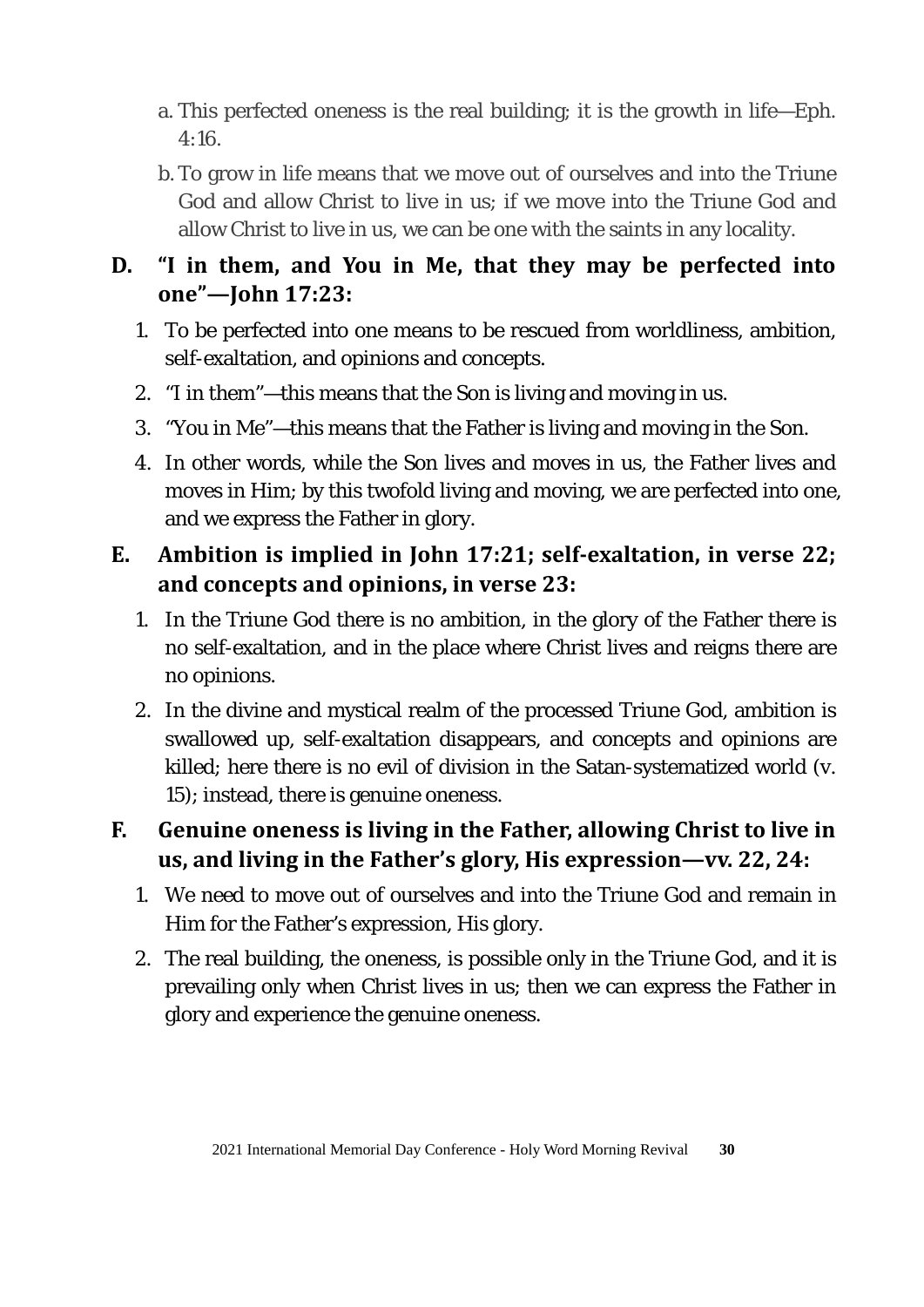- a. This perfected oneness is the real building; it is the growth in life—Eph. 4:16.
- b. To grow in life means that we move out of ourselves and into the Triune God and allow Christ to live in us; if we move into the Triune God and allow Christ to live in us, we can be one with the saints in any locality.

#### **D. "I in them, and You in Me, that they may be perfected into one"—John 17:23:**

- 1. To be perfected into one means to be rescued from worldliness, ambition, self-exaltation, and opinions and concepts.
- 2. "I in them"—this means that the Son is living and moving in us.
- 3. "You in Me"—this means that the Father is living and moving in the Son.
- 4. In other words, while the Son lives and moves in us, the Father lives and moves in Him; by this twofold living and moving, we are perfected into one, and we express the Father in glory.

## **E. Ambition is implied in John 17:21; self-exaltation, in verse 22; and concepts and opinions, in verse 23:**

- 1. In the Triune God there is no ambition, in the glory of the Father there is no self-exaltation, and in the place where Christ lives and reigns there are no opinions.
- 2. In the divine and mystical realm of the processed Triune God, ambition is swallowed up, self-exaltation disappears, and concepts and opinions are killed; here there is no evil of division in the Satan-systematized world (v. 15); instead, there is genuine oneness.

## **F. Genuine oneness is living in the Father, allowing Christ to live in us, and living in the Father's glory, His expression—vv. 22, 24:**

- 1. We need to move out of ourselves and into the Triune God and remain in Him for the Father's expression, His glory.
- 2. The real building, the oneness, is possible only in the Triune God, and it is prevailing only when Christ lives in us; then we can express the Father in glory and experience the genuine oneness.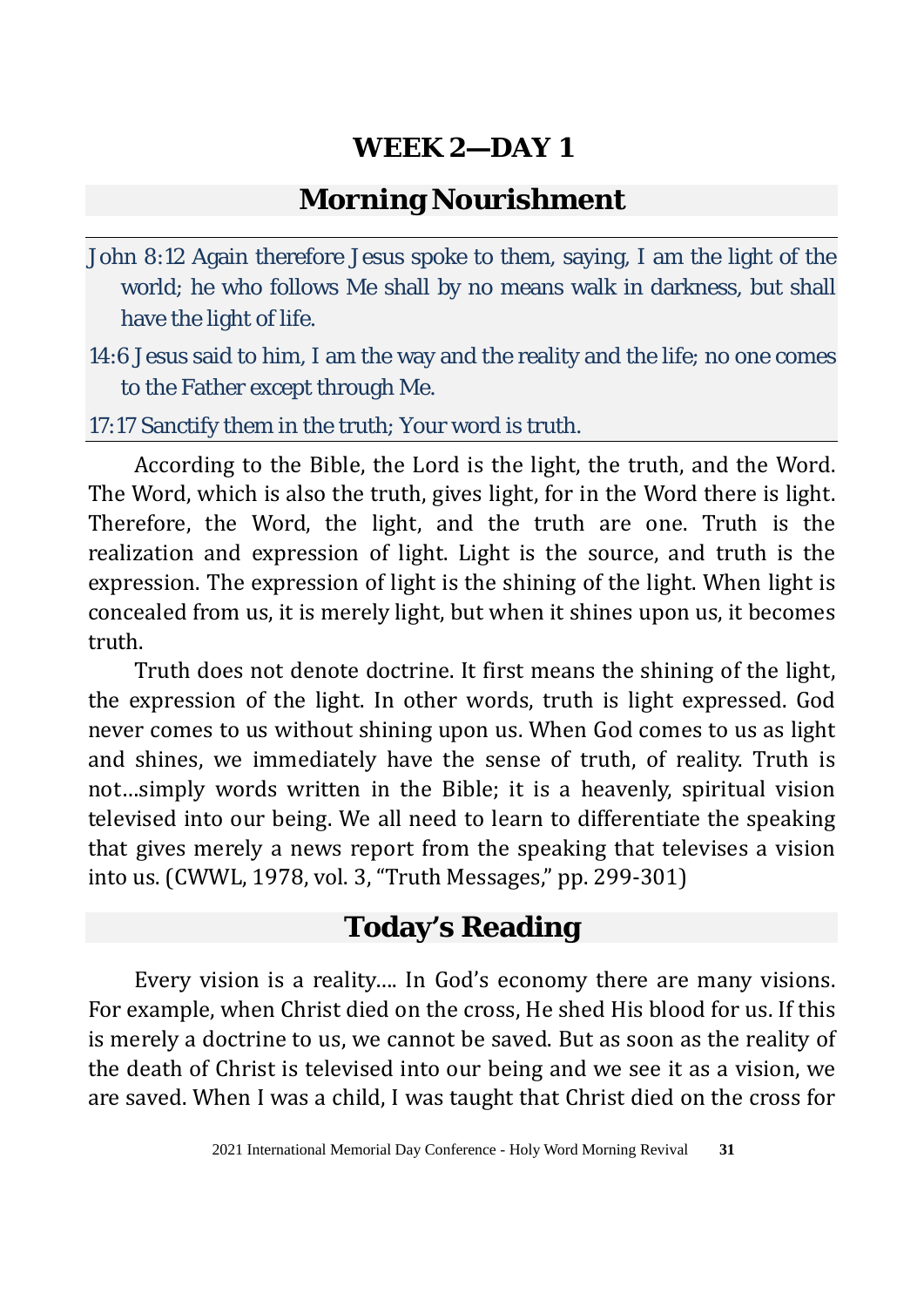## **Morning Nourishment**

- John 8:12 Again therefore Jesus spoke to them, saying, I am the light of the world; he who follows Me shall by no means walk in darkness, but shall have the light of life.
- 14:6 Jesus said to him, I am the way and the reality and the life; no one comes to the Father except through Me.

17:17 Sanctify them in the truth; Your word is truth.

According to the Bible, the Lord is the light, the truth, and the Word. The Word, which is also the truth, gives light, for in the Word there is light. Therefore, the Word, the light, and the truth are one. Truth is the realization and expression of light. Light is the source, and truth is the expression. The expression of light is the shining of the light. When light is concealed from us, it is merely light, but when it shines upon us, it becomes truth.

Truth does not denote doctrine. It first means the shining of the light, the expression of the light. In other words, truth is light expressed. God never comes to us without shining upon us. When God comes to us as light and shines, we immediately have the sense of truth, of reality. Truth is not…simply words written in the Bible; it is a heavenly, spiritual vision televised into our being. We all need to learn to differentiate the speaking that gives merely a news report from the speaking that televises a vision into us. (CWWL, 1978, vol. 3, "Truth Messages," pp. 299-301)

# **Today's Reading**

Every vision is a reality…. In God's economy there are many visions. For example, when Christ died on the cross, He shed His blood for us. If this is merely a doctrine to us, we cannot be saved. But as soon as the reality of the death of Christ is televised into our being and we see it as a vision, we are saved. When I was a child, I was taught that Christ died on the cross for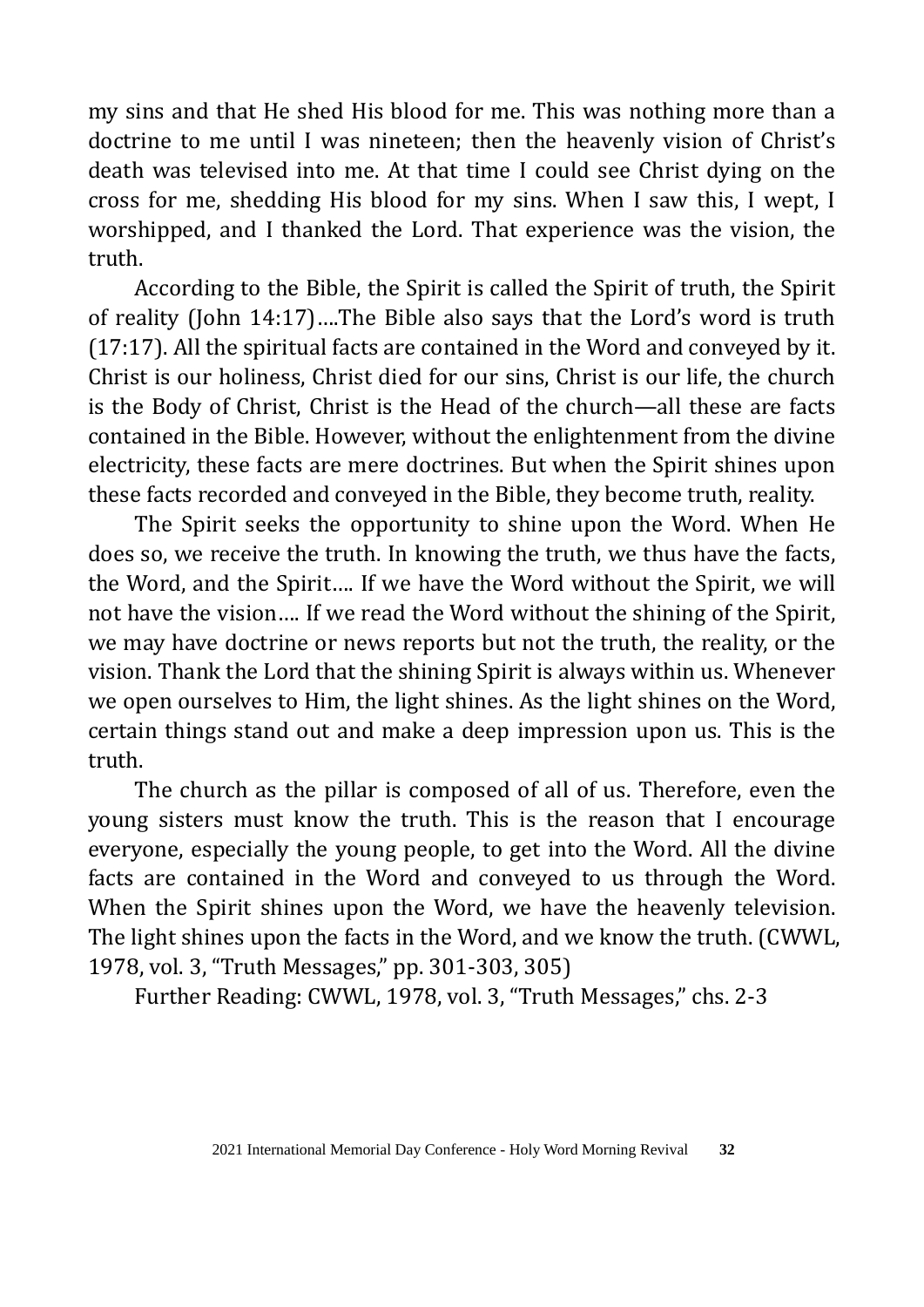my sins and that He shed His blood for me. This was nothing more than a doctrine to me until I was nineteen; then the heavenly vision of Christ's death was televised into me. At that time I could see Christ dying on the cross for me, shedding His blood for my sins. When I saw this, I wept, I worshipped, and I thanked the Lord. That experience was the vision, the truth.

According to the Bible, the Spirit is called the Spirit of truth, the Spirit of reality (John 14:17)….The Bible also says that the Lord's word is truth (17:17). All the spiritual facts are contained in the Word and conveyed by it. Christ is our holiness, Christ died for our sins, Christ is our life, the church is the Body of Christ, Christ is the Head of the church—all these are facts contained in the Bible. However, without the enlightenment from the divine electricity, these facts are mere doctrines. But when the Spirit shines upon these facts recorded and conveyed in the Bible, they become truth, reality.

The Spirit seeks the opportunity to shine upon the Word. When He does so, we receive the truth. In knowing the truth, we thus have the facts, the Word, and the Spirit…. If we have the Word without the Spirit, we will not have the vision…. If we read the Word without the shining of the Spirit, we may have doctrine or news reports but not the truth, the reality, or the vision. Thank the Lord that the shining Spirit is always within us. Whenever we open ourselves to Him, the light shines. As the light shines on the Word, certain things stand out and make a deep impression upon us. This is the truth.

The church as the pillar is composed of all of us. Therefore, even the young sisters must know the truth. This is the reason that I encourage everyone, especially the young people, to get into the Word. All the divine facts are contained in the Word and conveyed to us through the Word. When the Spirit shines upon the Word, we have the heavenly television. The light shines upon the facts in the Word, and we know the truth. (CWWL, 1978, vol. 3, "Truth Messages," pp. 301-303, 305)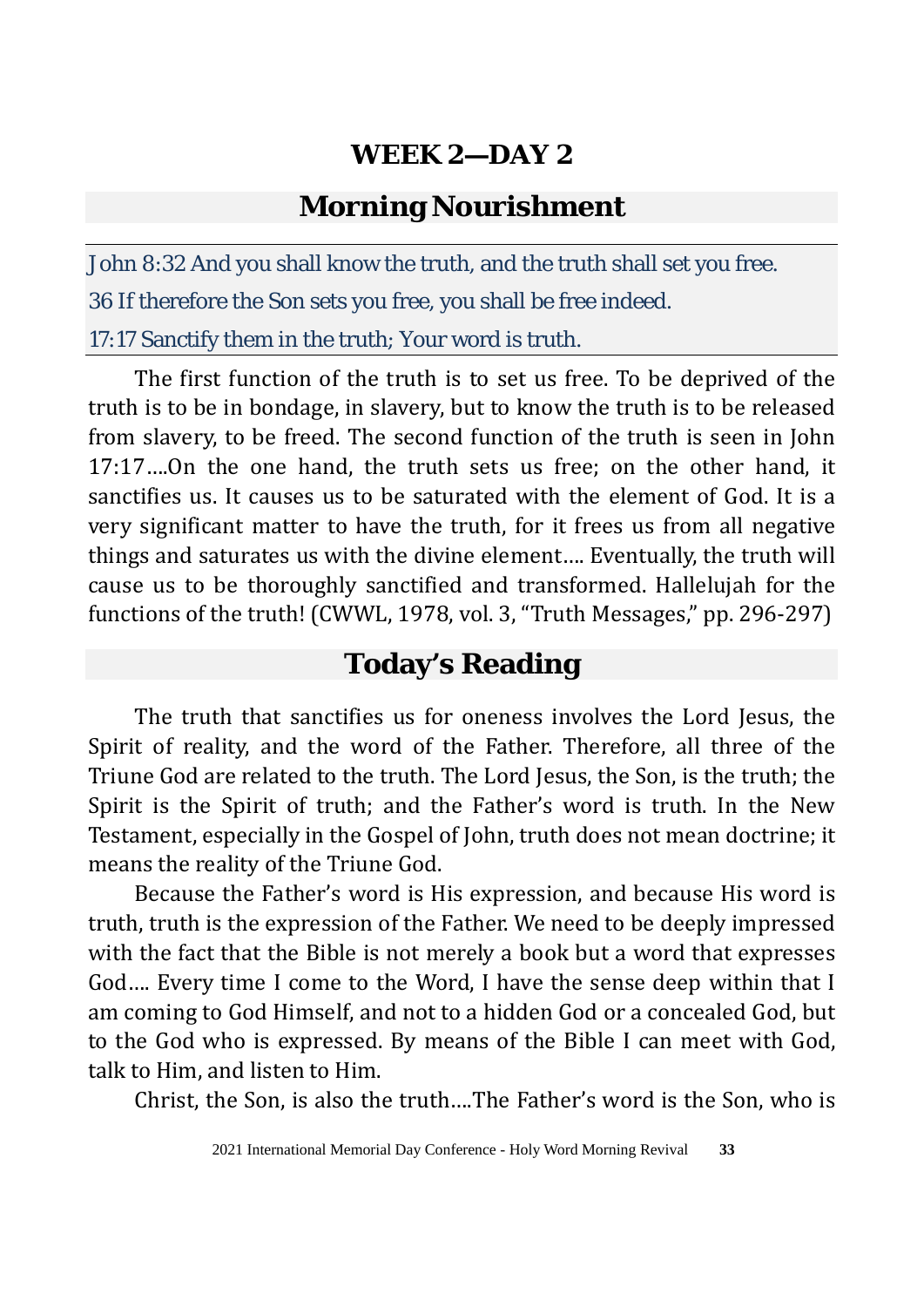## **Morning Nourishment**

John 8:32 And you shall know the truth, and the truth shall set you free. 36 If therefore the Son sets you free, you shall be free indeed.

17:17 Sanctify them in the truth; Your word is truth.

The first function of the truth is to set us free. To be deprived of the truth is to be in bondage, in slavery, but to know the truth is to be released from slavery, to be freed. The second function of the truth is seen in John 17:17….On the one hand, the truth sets us free; on the other hand, it sanctifies us. It causes us to be saturated with the element of God. It is a very significant matter to have the truth, for it frees us from all negative things and saturates us with the divine element…. Eventually, the truth will cause us to be thoroughly sanctified and transformed. Hallelujah for the functions of the truth! (CWWL, 1978, vol. 3, "Truth Messages," pp. 296-297)

# **Today's Reading**

The truth that sanctifies us for oneness involves the Lord Jesus, the Spirit of reality, and the word of the Father. Therefore, all three of the Triune God are related to the truth. The Lord Jesus, the Son, is the truth; the Spirit is the Spirit of truth; and the Father's word is truth. In the New Testament, especially in the Gospel of John, truth does not mean doctrine; it means the reality of the Triune God.

Because the Father's word is His expression, and because His word is truth, truth is the expression of the Father. We need to be deeply impressed with the fact that the Bible is not merely a book but a word that expresses God…. Every time I come to the Word, I have the sense deep within that I am coming to God Himself, and not to a hidden God or a concealed God, but to the God who is expressed. By means of the Bible I can meet with God, talk to Him, and listen to Him.

Christ, the Son, is also the truth….The Father's word is the Son, who is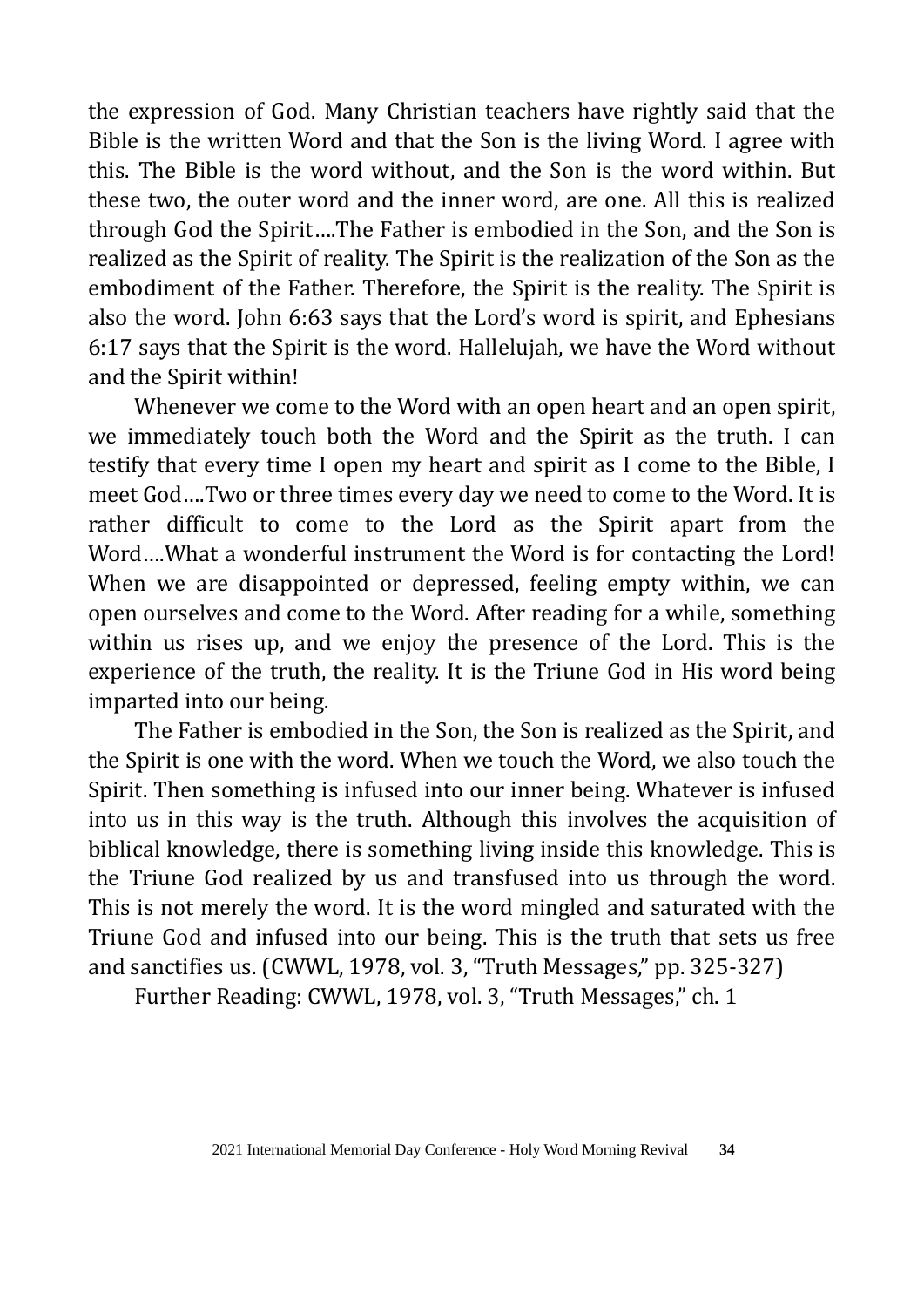the expression of God. Many Christian teachers have rightly said that the Bible is the written Word and that the Son is the living Word. I agree with this. The Bible is the word without, and the Son is the word within. But these two, the outer word and the inner word, are one. All this is realized through God the Spirit….The Father is embodied in the Son, and the Son is realized as the Spirit of reality. The Spirit is the realization of the Son as the embodiment of the Father. Therefore, the Spirit is the reality. The Spirit is also the word. John 6:63 says that the Lord's word is spirit, and Ephesians 6:17 says that the Spirit is the word. Hallelujah, we have the Word without and the Spirit within!

Whenever we come to the Word with an open heart and an open spirit, we immediately touch both the Word and the Spirit as the truth. I can testify that every time I open my heart and spirit as I come to the Bible, I meet God….Two or three times every day we need to come to the Word. It is rather difficult to come to the Lord as the Spirit apart from the Word….What a wonderful instrument the Word is for contacting the Lord! When we are disappointed or depressed, feeling empty within, we can open ourselves and come to the Word. After reading for a while, something within us rises up, and we enjoy the presence of the Lord. This is the experience of the truth, the reality. It is the Triune God in His word being imparted into our being.

The Father is embodied in the Son, the Son is realized as the Spirit, and the Spirit is one with the word. When we touch the Word, we also touch the Spirit. Then something is infused into our inner being. Whatever is infused into us in this way is the truth. Although this involves the acquisition of biblical knowledge, there is something living inside this knowledge. This is the Triune God realized by us and transfused into us through the word. This is not merely the word. It is the word mingled and saturated with the Triune God and infused into our being. This is the truth that sets us free and sanctifies us. (CWWL, 1978, vol. 3, "Truth Messages," pp. 325-327)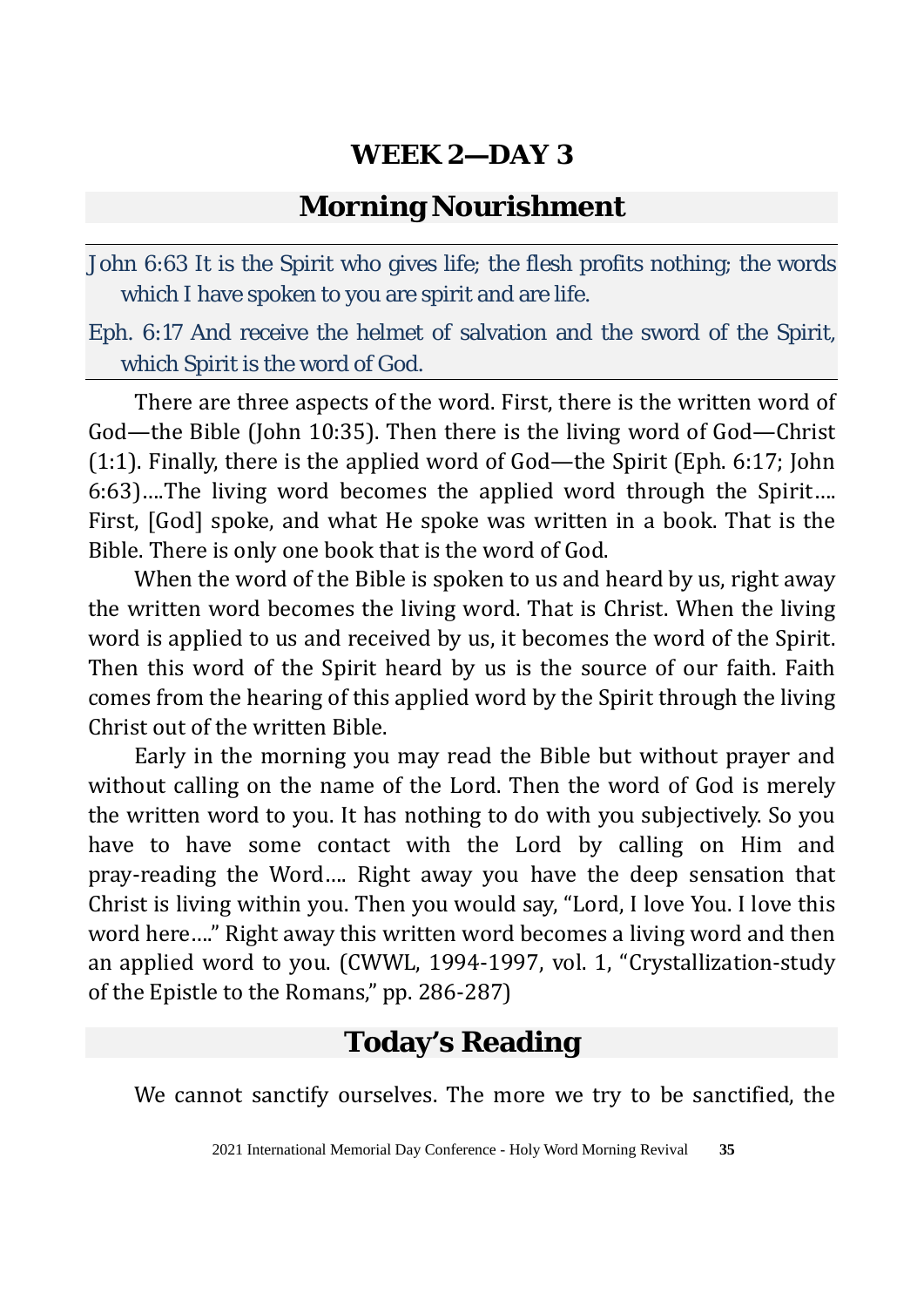#### **Morning Nourishment**

John 6:63 It is the Spirit who gives life; the flesh profits nothing; the words which I have spoken to you are spirit and are life.

Eph. 6:17 And receive the helmet of salvation and the sword of the Spirit, which Spirit is the word of God.

There are three aspects of the word. First, there is the written word of God—the Bible (John 10:35). Then there is the living word of God—Christ (1:1). Finally, there is the applied word of God—the Spirit (Eph. 6:17; John 6:63)….The living word becomes the applied word through the Spirit…. First, [God] spoke, and what He spoke was written in a book. That is the Bible. There is only one book that is the word of God.

When the word of the Bible is spoken to us and heard by us, right away the written word becomes the living word. That is Christ. When the living word is applied to us and received by us, it becomes the word of the Spirit. Then this word of the Spirit heard by us is the source of our faith. Faith comes from the hearing of this applied word by the Spirit through the living Christ out of the written Bible.

Early in the morning you may read the Bible but without prayer and without calling on the name of the Lord. Then the word of God is merely the written word to you. It has nothing to do with you subjectively. So you have to have some contact with the Lord by calling on Him and pray-reading the Word…. Right away you have the deep sensation that Christ is living within you. Then you would say, "Lord, I love You. I love this word here…." Right away this written word becomes a living word and then an applied word to you. (CWWL, 1994-1997, vol. 1, "Crystallization-study of the Epistle to the Romans," pp. 286-287)

# **Today's Reading**

We cannot sanctify ourselves. The more we try to be sanctified, the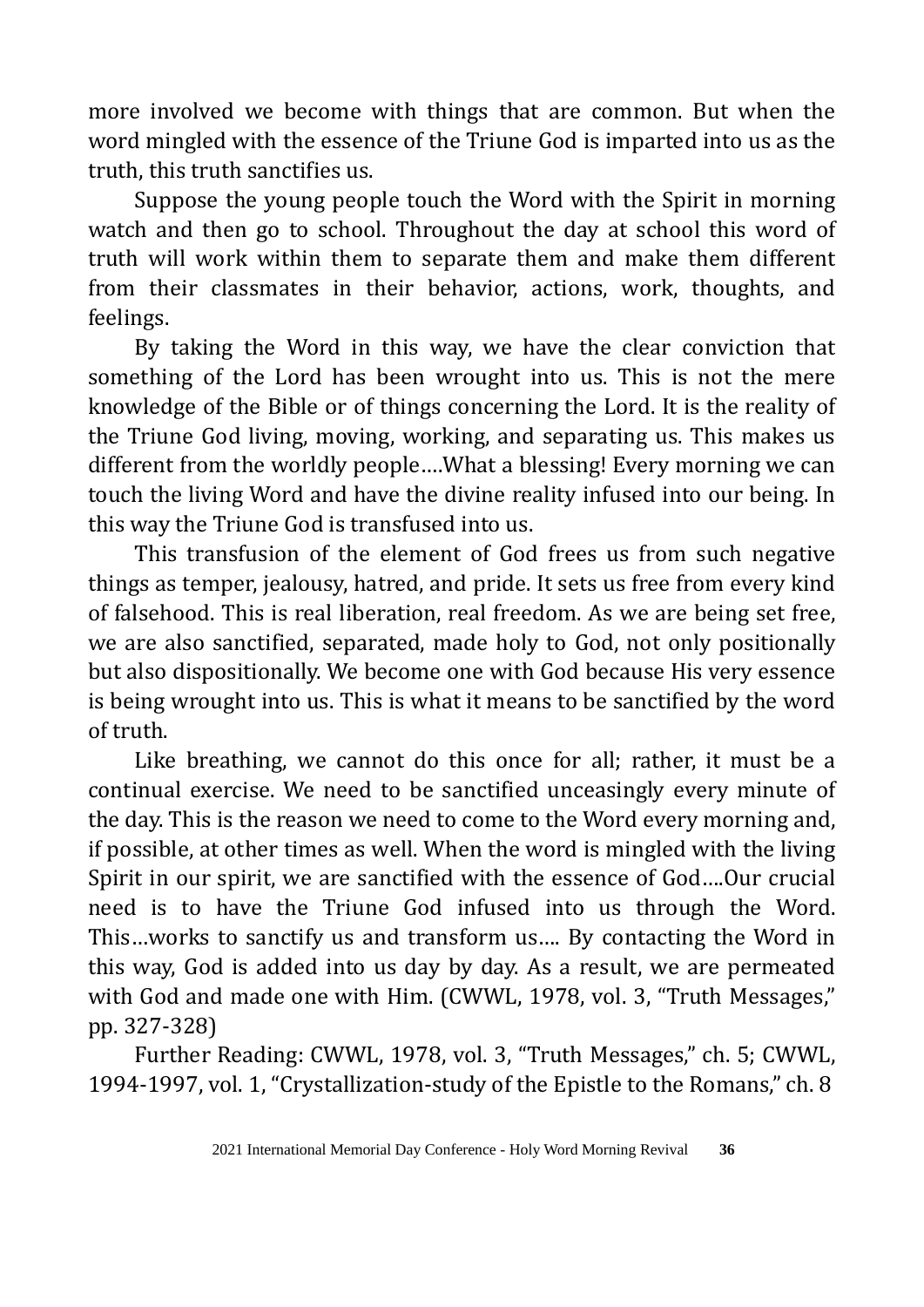more involved we become with things that are common. But when the word mingled with the essence of the Triune God is imparted into us as the truth, this truth sanctifies us.

Suppose the young people touch the Word with the Spirit in morning watch and then go to school. Throughout the day at school this word of truth will work within them to separate them and make them different from their classmates in their behavior, actions, work, thoughts, and feelings.

By taking the Word in this way, we have the clear conviction that something of the Lord has been wrought into us. This is not the mere knowledge of the Bible or of things concerning the Lord. It is the reality of the Triune God living, moving, working, and separating us. This makes us different from the worldly people….What a blessing! Every morning we can touch the living Word and have the divine reality infused into our being. In this way the Triune God is transfused into us.

This transfusion of the element of God frees us from such negative things as temper, jealousy, hatred, and pride. It sets us free from every kind of falsehood. This is real liberation, real freedom. As we are being set free, we are also sanctified, separated, made holy to God, not only positionally but also dispositionally. We become one with God because His very essence is being wrought into us. This is what it means to be sanctified by the word of truth.

Like breathing, we cannot do this once for all; rather, it must be a continual exercise. We need to be sanctified unceasingly every minute of the day. This is the reason we need to come to the Word every morning and, if possible, at other times as well. When the word is mingled with the living Spirit in our spirit, we are sanctified with the essence of God….Our crucial need is to have the Triune God infused into us through the Word. This…works to sanctify us and transform us…. By contacting the Word in this way, God is added into us day by day. As a result, we are permeated with God and made one with Him. (CWWL, 1978, vol. 3, "Truth Messages," pp. 327-328)

Further Reading: CWWL, 1978, vol. 3, "Truth Messages," ch. 5; CWWL, 1994-1997, vol. 1, "Crystallization-study of the Epistle to the Romans," ch. 8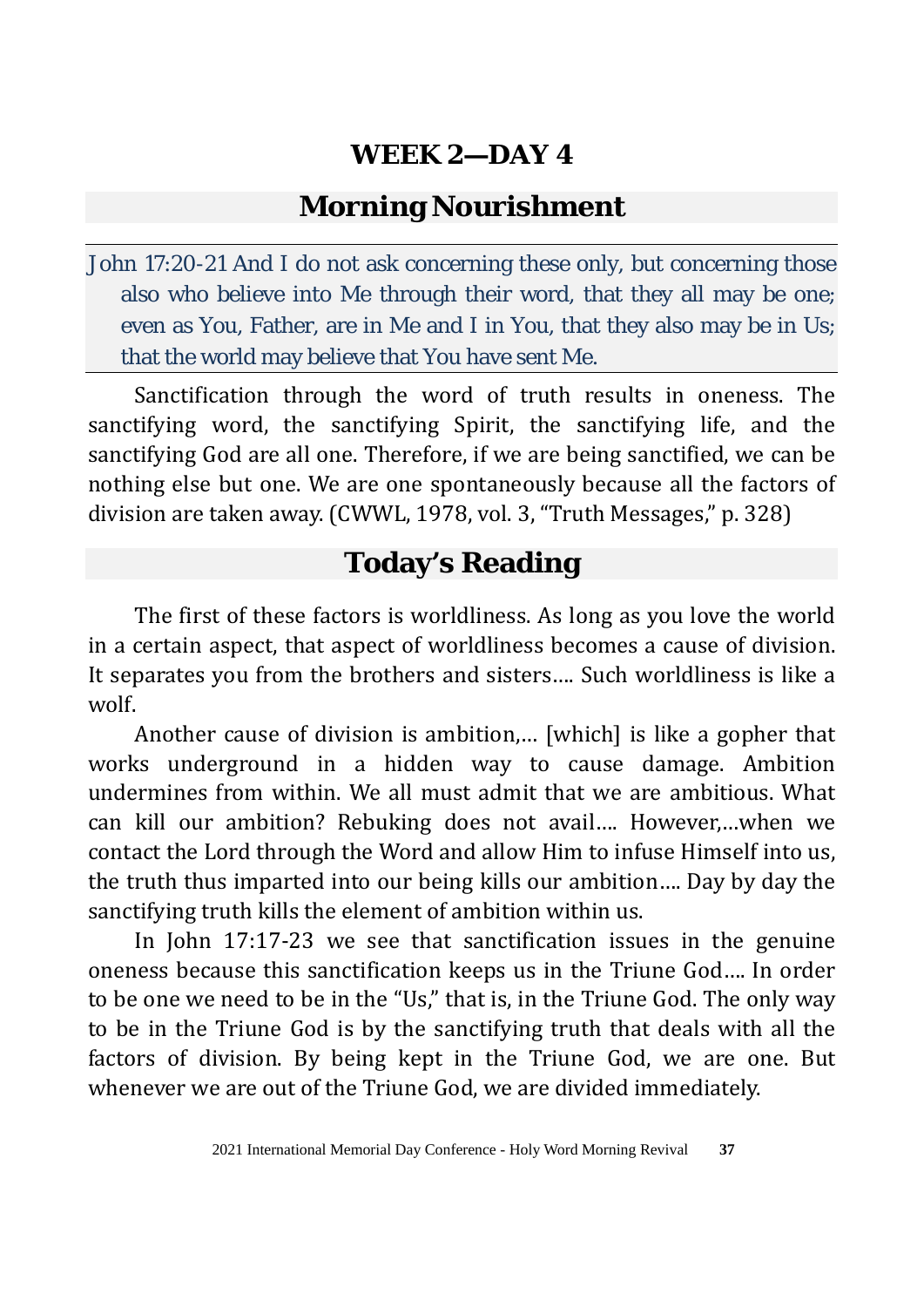## **Morning Nourishment**

John 17:20-21 And I do not ask concerning these only, but concerning those also who believe into Me through their word, that they all may be one; even as You, Father, are in Me and I in You, that they also may be in Us; that the world may believe that You have sent Me.

Sanctification through the word of truth results in oneness. The sanctifying word, the sanctifying Spirit, the sanctifying life, and the sanctifying God are all one. Therefore, if we are being sanctified, we can be nothing else but one. We are one spontaneously because all the factors of division are taken away. (CWWL, 1978, vol. 3, "Truth Messages," p. 328)

# **Today's Reading**

The first of these factors is worldliness. As long as you love the world in a certain aspect, that aspect of worldliness becomes a cause of division. It separates you from the brothers and sisters…. Such worldliness is like a wolf.

Another cause of division is ambition,… [which] is like a gopher that works underground in a hidden way to cause damage. Ambition undermines from within. We all must admit that we are ambitious. What can kill our ambition? Rebuking does not avail…. However,…when we contact the Lord through the Word and allow Him to infuse Himself into us, the truth thus imparted into our being kills our ambition…. Day by day the sanctifying truth kills the element of ambition within us.

In John 17:17-23 we see that sanctification issues in the genuine oneness because this sanctification keeps us in the Triune God…. In order to be one we need to be in the "Us," that is, in the Triune God. The only way to be in the Triune God is by the sanctifying truth that deals with all the factors of division. By being kept in the Triune God, we are one. But whenever we are out of the Triune God, we are divided immediately.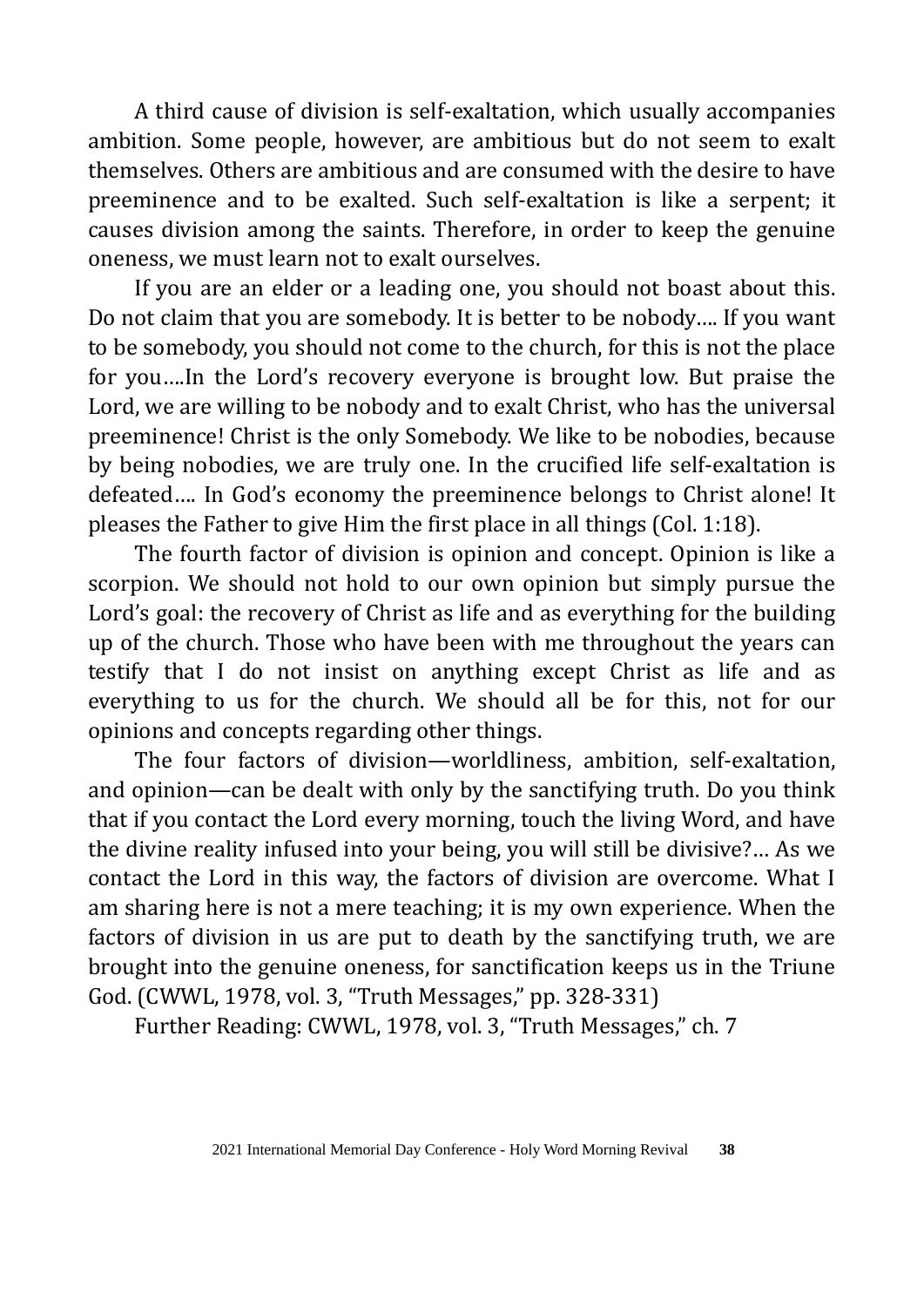A third cause of division is self-exaltation, which usually accompanies ambition. Some people, however, are ambitious but do not seem to exalt themselves. Others are ambitious and are consumed with the desire to have preeminence and to be exalted. Such self-exaltation is like a serpent; it causes division among the saints. Therefore, in order to keep the genuine oneness, we must learn not to exalt ourselves.

If you are an elder or a leading one, you should not boast about this. Do not claim that you are somebody. It is better to be nobody…. If you want to be somebody, you should not come to the church, for this is not the place for you….In the Lord's recovery everyone is brought low. But praise the Lord, we are willing to be nobody and to exalt Christ, who has the universal preeminence! Christ is the only Somebody. We like to be nobodies, because by being nobodies, we are truly one. In the crucified life self-exaltation is defeated…. In God's economy the preeminence belongs to Christ alone! It pleases the Father to give Him the first place in all things (Col. 1:18).

The fourth factor of division is opinion and concept. Opinion is like a scorpion. We should not hold to our own opinion but simply pursue the Lord's goal: the recovery of Christ as life and as everything for the building up of the church. Those who have been with me throughout the years can testify that I do not insist on anything except Christ as life and as everything to us for the church. We should all be for this, not for our opinions and concepts regarding other things.

The four factors of division—worldliness, ambition, self-exaltation, and opinion—can be dealt with only by the sanctifying truth. Do you think that if you contact the Lord every morning, touch the living Word, and have the divine reality infused into your being, you will still be divisive?… As we contact the Lord in this way, the factors of division are overcome. What I am sharing here is not a mere teaching; it is my own experience. When the factors of division in us are put to death by the sanctifying truth, we are brought into the genuine oneness, for sanctification keeps us in the Triune God. (CWWL, 1978, vol. 3, "Truth Messages," pp. 328-331)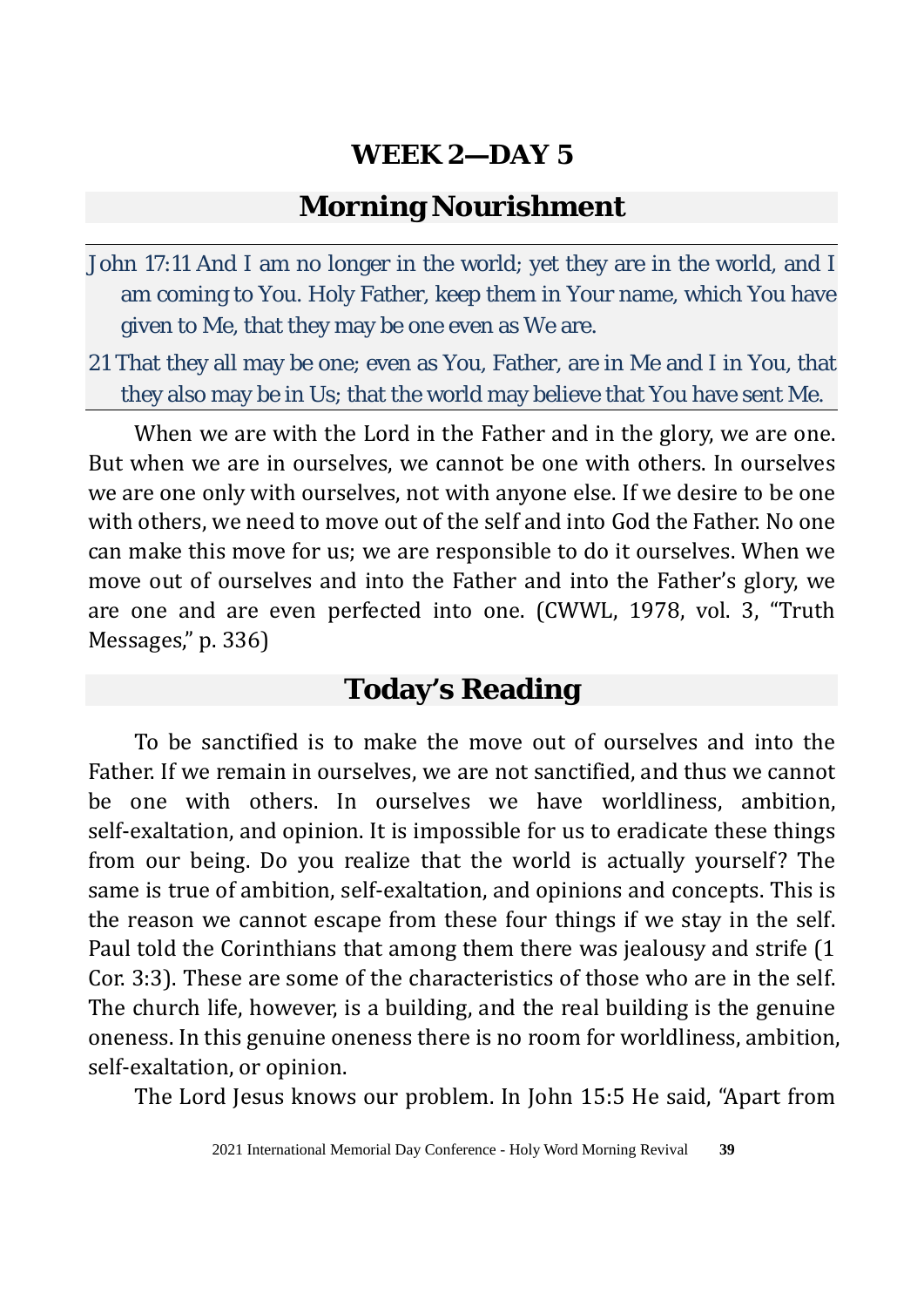#### **Morning Nourishment**

- John 17:11 And I am no longer in the world; yet they are in the world, and I am coming to You. Holy Father, keep them in Your name, which You have given to Me, that they may be one even as We are.
- 21 That they all may be one; even as You, Father, are in Me and I in You, that they also may be in Us; that the world may believe that You have sent Me.

When we are with the Lord in the Father and in the glory, we are one. But when we are in ourselves, we cannot be one with others. In ourselves we are one only with ourselves, not with anyone else. If we desire to be one with others, we need to move out of the self and into God the Father. No one can make this move for us; we are responsible to do it ourselves. When we move out of ourselves and into the Father and into the Father's glory, we are one and are even perfected into one. (CWWL, 1978, vol. 3, "Truth Messages," p. 336)

## **Today's Reading**

To be sanctified is to make the move out of ourselves and into the Father. If we remain in ourselves, we are not sanctified, and thus we cannot be one with others. In ourselves we have worldliness, ambition, self-exaltation, and opinion. It is impossible for us to eradicate these things from our being. Do you realize that the world is actually yourself? The same is true of ambition, self-exaltation, and opinions and concepts. This is the reason we cannot escape from these four things if we stay in the self. Paul told the Corinthians that among them there was jealousy and strife (1 Cor. 3:3). These are some of the characteristics of those who are in the self. The church life, however, is a building, and the real building is the genuine oneness. In this genuine oneness there is no room for worldliness, ambition, self-exaltation, or opinion.

The Lord Jesus knows our problem. In John 15:5 He said, "Apart from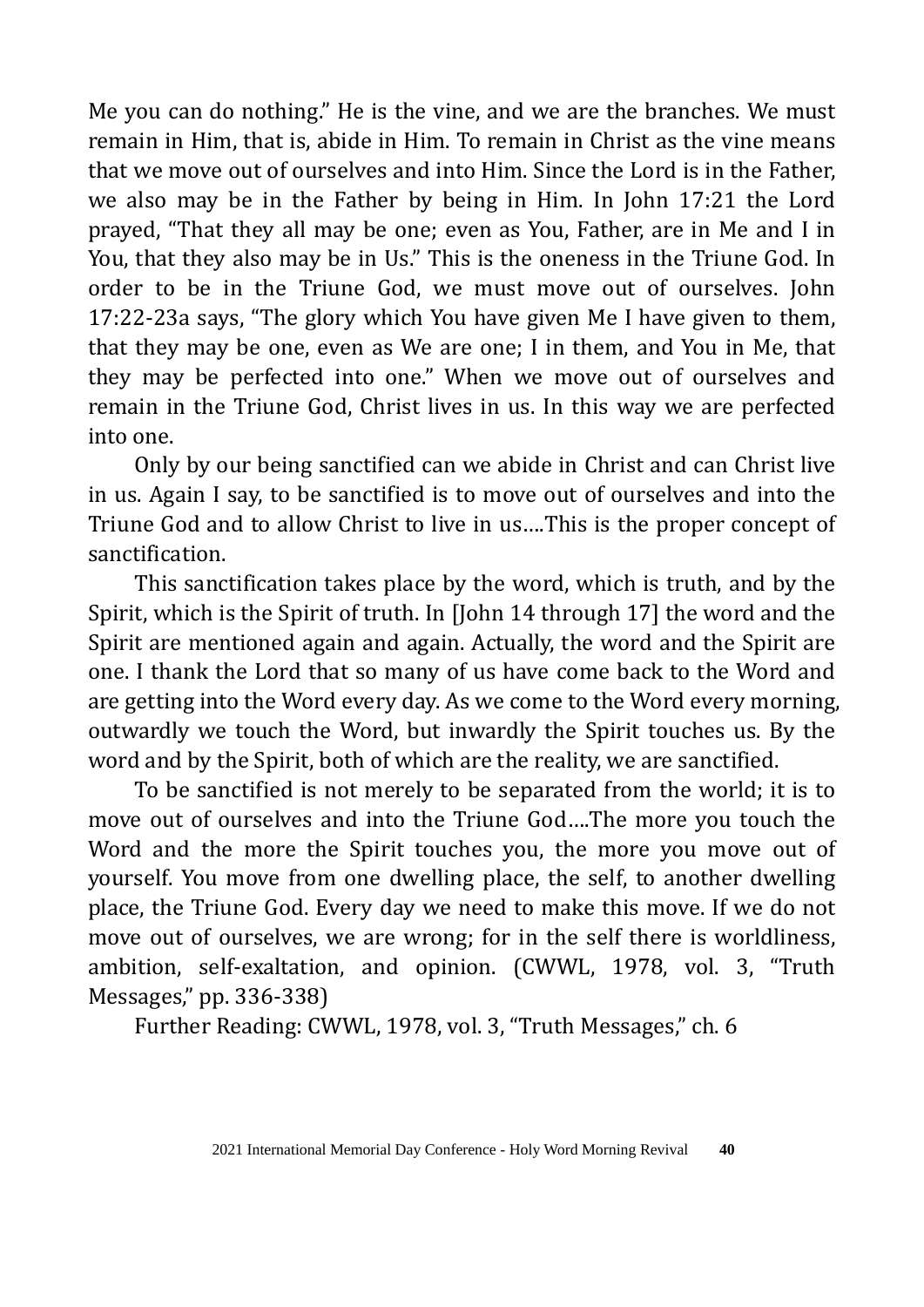Me you can do nothing." He is the vine, and we are the branches. We must remain in Him, that is, abide in Him. To remain in Christ as the vine means that we move out of ourselves and into Him. Since the Lord is in the Father, we also may be in the Father by being in Him. In John 17:21 the Lord prayed, "That they all may be one; even as You, Father, are in Me and I in You, that they also may be in Us." This is the oneness in the Triune God. In order to be in the Triune God, we must move out of ourselves. John 17:22-23a says, "The glory which You have given Me I have given to them, that they may be one, even as We are one; I in them, and You in Me, that they may be perfected into one." When we move out of ourselves and remain in the Triune God, Christ lives in us. In this way we are perfected into one.

Only by our being sanctified can we abide in Christ and can Christ live in us. Again I say, to be sanctified is to move out of ourselves and into the Triune God and to allow Christ to live in us….This is the proper concept of sanctification.

This sanctification takes place by the word, which is truth, and by the Spirit, which is the Spirit of truth. In [John 14 through 17] the word and the Spirit are mentioned again and again. Actually, the word and the Spirit are one. I thank the Lord that so many of us have come back to the Word and are getting into the Word every day. As we come to the Word every morning, outwardly we touch the Word, but inwardly the Spirit touches us. By the word and by the Spirit, both of which are the reality, we are sanctified.

To be sanctified is not merely to be separated from the world; it is to move out of ourselves and into the Triune God….The more you touch the Word and the more the Spirit touches you, the more you move out of yourself. You move from one dwelling place, the self, to another dwelling place, the Triune God. Every day we need to make this move. If we do not move out of ourselves, we are wrong; for in the self there is worldliness, ambition, self-exaltation, and opinion. (CWWL, 1978, vol. 3, "Truth Messages," pp. 336-338)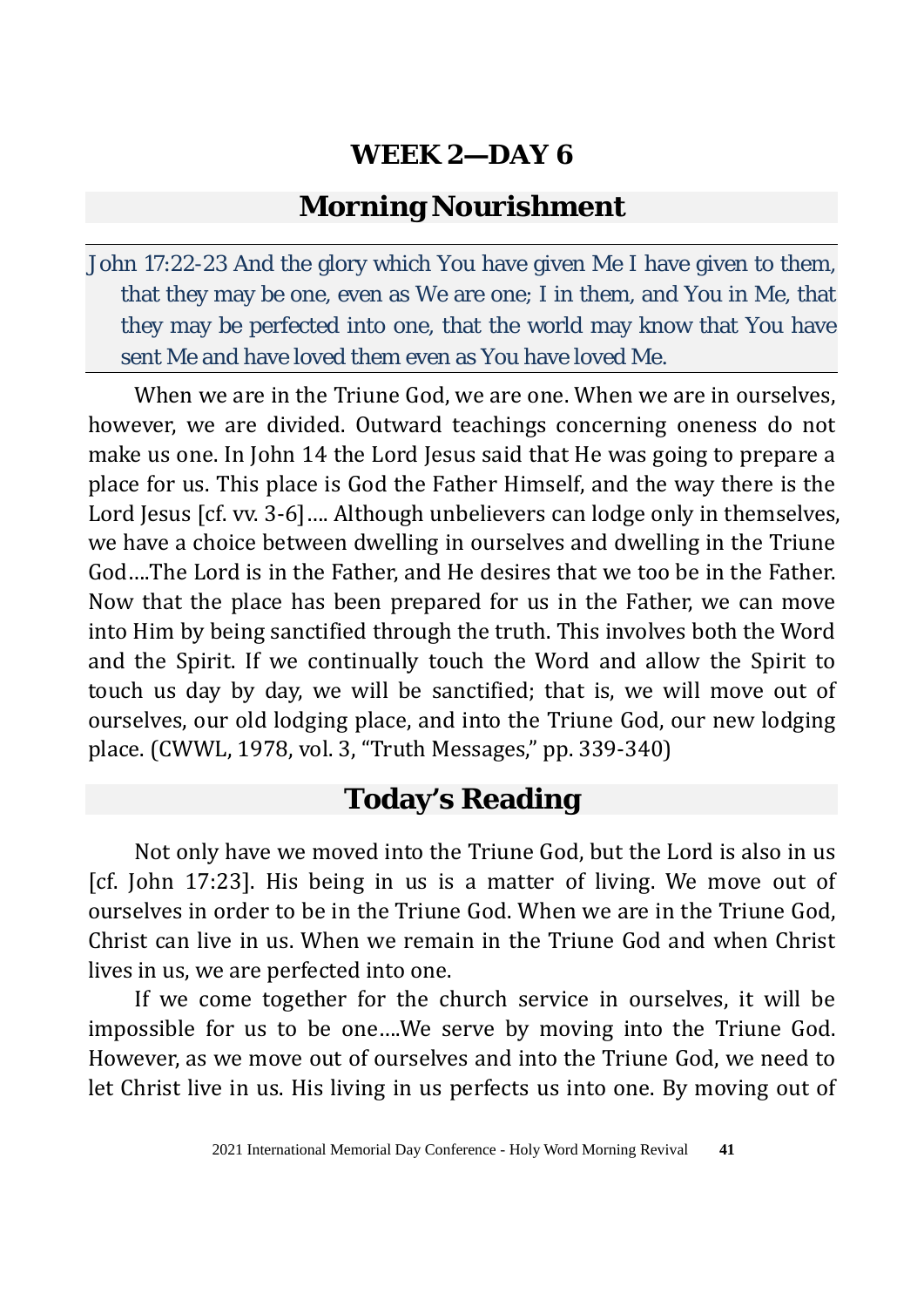#### **Morning Nourishment**

John 17:22-23 And the glory which You have given Me I have given to them, that they may be one, even as We are one; I in them, and You in Me, that they may be perfected into one, that the world may know that You have sent Me and have loved them even as You have loved Me.

When we are in the Triune God, we are one. When we are in ourselves, however, we are divided. Outward teachings concerning oneness do not make us one. In John 14 the Lord Jesus said that He was going to prepare a place for us. This place is God the Father Himself, and the way there is the Lord Jesus [cf. vv. 3-6].... Although unbelievers can lodge only in themselves, we have a choice between dwelling in ourselves and dwelling in the Triune God….The Lord is in the Father, and He desires that we too be in the Father. Now that the place has been prepared for us in the Father, we can move into Him by being sanctified through the truth. This involves both the Word and the Spirit. If we continually touch the Word and allow the Spirit to touch us day by day, we will be sanctified; that is, we will move out of ourselves, our old lodging place, and into the Triune God, our new lodging place. (CWWL, 1978, vol. 3, "Truth Messages," pp. 339-340)

# **Today's Reading**

Not only have we moved into the Triune God, but the Lord is also in us [cf. John 17:23]. His being in us is a matter of living. We move out of ourselves in order to be in the Triune God. When we are in the Triune God, Christ can live in us. When we remain in the Triune God and when Christ lives in us, we are perfected into one.

If we come together for the church service in ourselves, it will be impossible for us to be one….We serve by moving into the Triune God. However, as we move out of ourselves and into the Triune God, we need to let Christ live in us. His living in us perfects us into one. By moving out of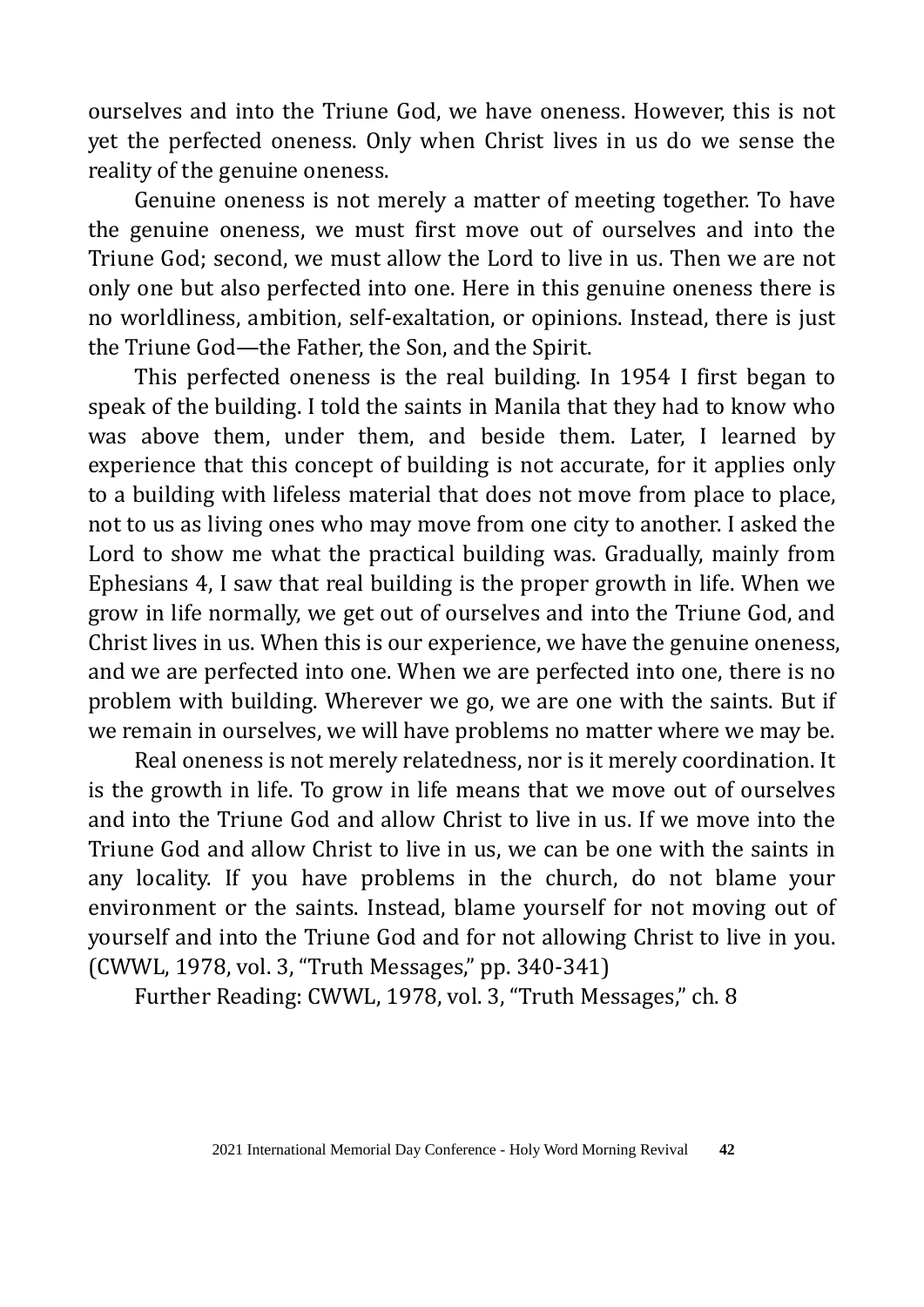ourselves and into the Triune God, we have oneness. However, this is not yet the perfected oneness. Only when Christ lives in us do we sense the reality of the genuine oneness.

Genuine oneness is not merely a matter of meeting together. To have the genuine oneness, we must first move out of ourselves and into the Triune God; second, we must allow the Lord to live in us. Then we are not only one but also perfected into one. Here in this genuine oneness there is no worldliness, ambition, self-exaltation, or opinions. Instead, there is just the Triune God—the Father, the Son, and the Spirit.

This perfected oneness is the real building. In 1954 I first began to speak of the building. I told the saints in Manila that they had to know who was above them, under them, and beside them. Later, I learned by experience that this concept of building is not accurate, for it applies only to a building with lifeless material that does not move from place to place, not to us as living ones who may move from one city to another. I asked the Lord to show me what the practical building was. Gradually, mainly from Ephesians 4, I saw that real building is the proper growth in life. When we grow in life normally, we get out of ourselves and into the Triune God, and Christ lives in us. When this is our experience, we have the genuine oneness, and we are perfected into one. When we are perfected into one, there is no problem with building. Wherever we go, we are one with the saints. But if we remain in ourselves, we will have problems no matter where we may be.

Real oneness is not merely relatedness, nor is it merely coordination. It is the growth in life. To grow in life means that we move out of ourselves and into the Triune God and allow Christ to live in us. If we move into the Triune God and allow Christ to live in us, we can be one with the saints in any locality. If you have problems in the church, do not blame your environment or the saints. Instead, blame yourself for not moving out of yourself and into the Triune God and for not allowing Christ to live in you. (CWWL, 1978, vol. 3, "Truth Messages," pp. 340-341)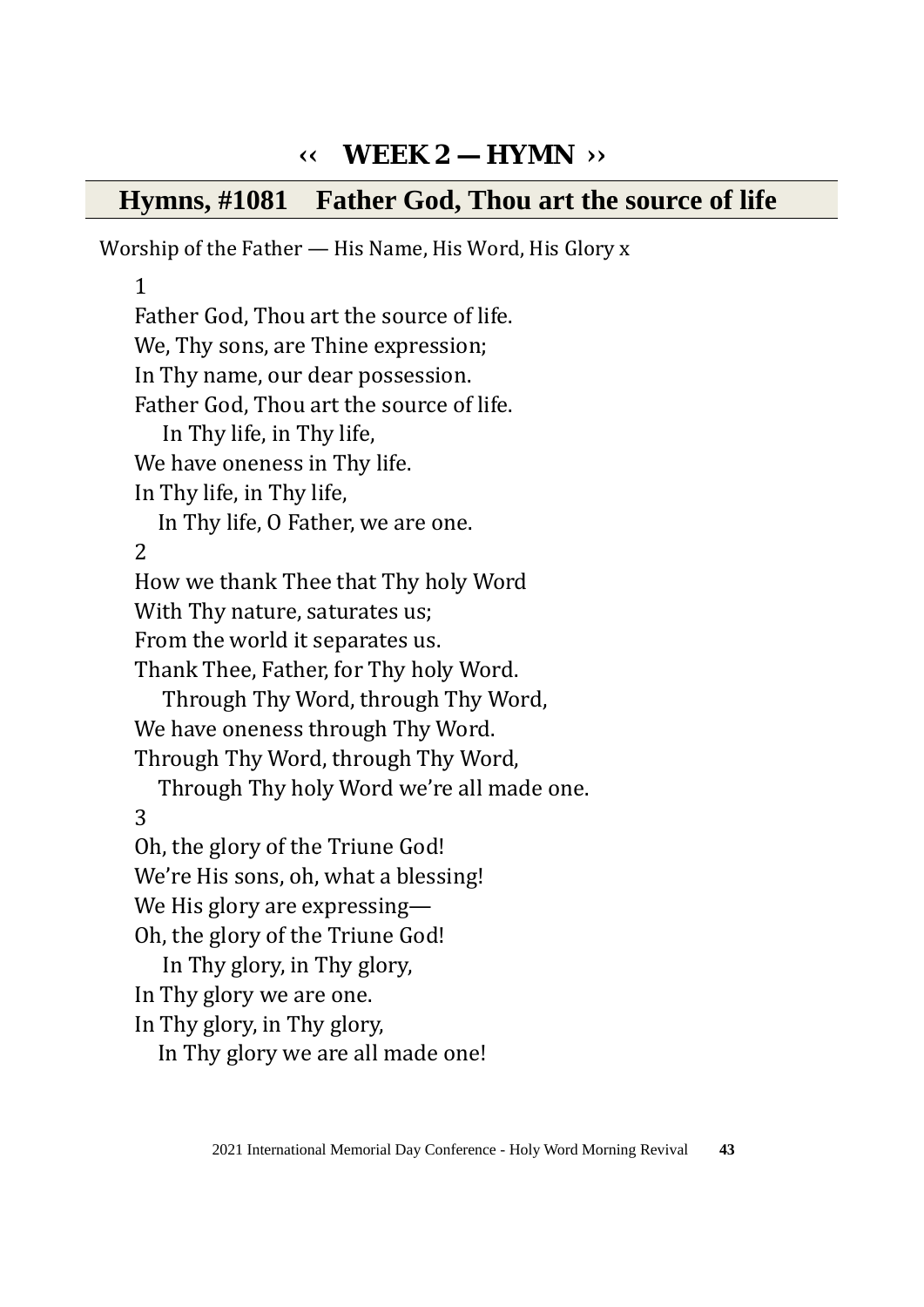# **‹‹ WEEK 2 — HYMN ››**

#### **Hymns, #1081 Father God, Thou art the source of life**

Worship of the Father — His Name, His Word, His Glory x

1

Father God, Thou art the source of life. We, Thy sons, are Thine expression; In Thy name, our dear possession. Father God, Thou art the source of life. In Thy life, in Thy life, We have oneness in Thy life. In Thy life, in Thy life, In Thy life, O Father, we are one. 2 How we thank Thee that Thy holy Word With Thy nature, saturates us; From the world it separates us. Thank Thee, Father, for Thy holy Word. Through Thy Word, through Thy Word, We have oneness through Thy Word. Through Thy Word, through Thy Word, Through Thy holy Word we're all made one. 3 Oh, the glory of the Triune God! We're His sons, oh, what a blessing! We His glory are expressing— Oh, the glory of the Triune God! In Thy glory, in Thy glory, In Thy glory we are one. In Thy glory, in Thy glory, In Thy glory we are all made one!